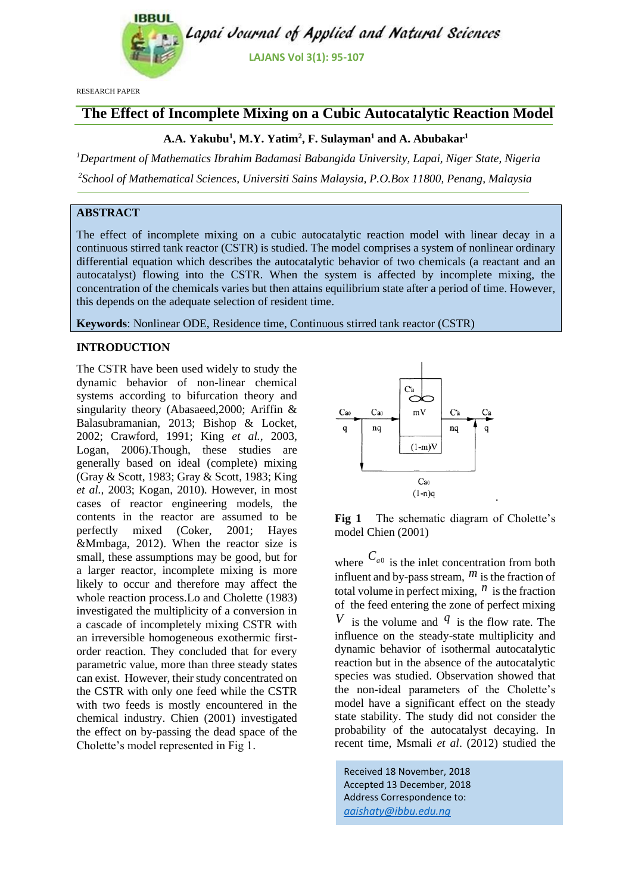

RESEARCH PAPER

## **The Effect of Incomplete Mixing on a Cubic Autocatalytic Reaction Model**

## **A.A. Yakubu<sup>1</sup> , M.Y. Yatim<sup>2</sup> , F. Sulayman<sup>1</sup> and A. Abubakar<sup>1</sup>**

*<sup>1</sup>Department of Mathematics Ibrahim Badamasi Babangida University, Lapai, Niger State, Nigeria*

*2 School of Mathematical Sciences, Universiti Sains Malaysia, P.O.Box 11800, Penang, Malaysia*

## **ABSTRACT**

The effect of incomplete mixing on a cubic autocatalytic reaction model with linear decay in a continuous stirred tank reactor (CSTR) is studied. The model comprises a system of nonlinear ordinary differential equation which describes the autocatalytic behavior of two chemicals (a reactant and an autocatalyst) flowing into the CSTR. When the system is affected by incomplete mixing, the concentration of the chemicals varies but then attains equilibrium state after a period of time. However, this depends on the adequate selection of resident time.

**Keywords**: Nonlinear ODE, Residence time, Continuous stirred tank reactor (CSTR)

## **INTRODUCTION**

The CSTR have been used widely to study the dynamic behavior of non-linear chemical systems according to bifurcation theory and singularity theory (Abasaeed,2000; Ariffin & Balasubramanian, 2013; Bishop & Locket, 2002; Crawford, 1991; King *et al.,* 2003, Logan, 2006).Though, these studies are generally based on ideal (complete) mixing (Gray & Scott, 1983; Gray & Scott, 1983; King *et al.,* 2003; Kogan, 2010). However, in most cases of reactor engineering models, the contents in the reactor are assumed to be perfectly mixed (Coker, 2001; Hayes &Mmbaga, 2012). When the reactor size is small, these assumptions may be good, but for a larger reactor, incomplete mixing is more likely to occur and therefore may affect the whole reaction process.Lo and Cholette (1983) investigated the multiplicity of a conversion in a cascade of incompletely mixing CSTR with an irreversible homogeneous exothermic firstorder reaction. They concluded that for every parametric value, more than three steady states can exist. However, their study concentrated on the CSTR with only one feed while the CSTR with two feeds is mostly encountered in the chemical industry. Chien (2001) investigated the effect on by-passing the dead space of the Cholette's model represented in Fig 1.



**Fig 1** The schematic diagram of Cholette's model Chien (2001)

where  $C_{a0}$  is the inlet concentration from both influent and by-pass stream,  $<sup>m</sup>$  is the fraction of</sup> total volume in perfect mixing,  $<sup>n</sup>$  is the fraction</sup> of the feed entering the zone of perfect mixing *V* is the volume and  $q$  is the flow rate. The influence on the steady-state multiplicity and dynamic behavior of isothermal autocatalytic reaction but in the absence of the autocatalytic species was studied. Observation showed that the non-ideal parameters of the Cholette's model have a significant effect on the steady state stability. The study did not consider the probability of the autocatalyst decaying. In recent time, Msmali *et al*. (2012) studied the

Received 18 November, 2018 Accepted 13 December, 2018 Address Correspondence to: *[aaishaty@ibbu.edu.ng](mailto:aaishaty@ibbu.edu.ng)*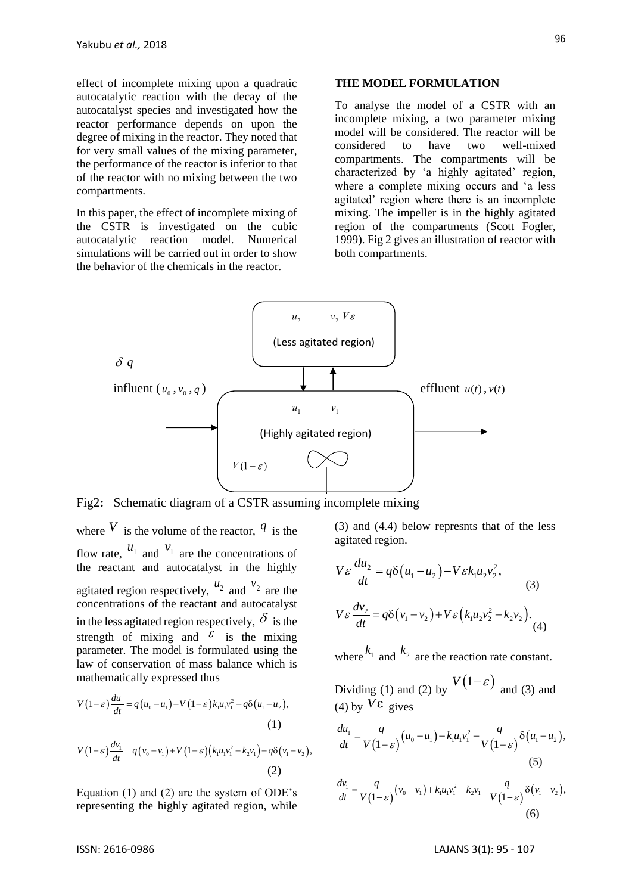effect of incomplete mixing upon a quadratic autocatalytic reaction with the decay of the autocatalyst species and investigated how the reactor performance depends on upon the degree of mixing in the reactor. They noted that for very small values of the mixing parameter, the performance of the reactor is inferior to that of the reactor with no mixing between the two compartments.

In this paper, the effect of incomplete mixing of the CSTR is investigated on the cubic autocatalytic reaction model. Numerical simulations will be carried out in order to show the behavior of the chemicals in the reactor.

#### **THE MODEL FORMULATION**

To analyse the model of a CSTR with an incomplete mixing, a two parameter mixing model will be considered. The reactor will be considered to have two well-mixed compartments. The compartments will be characterized by 'a highly agitated' region, where a complete mixing occurs and 'a less agitated' region where there is an incomplete mixing. The impeller is in the highly agitated region of the compartments (Scott Fogler, 1999). Fig 2 gives an illustration of reactor with both compartments.



Fig2**:** Schematic diagram of a CSTR assuming incomplete mixing

where  $V$  is the volume of the reactor,  $q$  is the flow rate,  $u_1$  and  $v_1$  are the concentrations of the reactant and autocatalyst in the highly agitated region respectively,  $u_2$  and  $v_2$  are the concentrations of the reactant and autocatalyst in the less agitated region respectively,  $\delta$  is the strength of mixing and  $\epsilon$  is the mixing parameter. The model is formulated using the law of conservation of mass balance which is mathematically expressed thus

$$
V(1-\varepsilon)\frac{du_1}{dt} = q(u_0 - u_1) - V(1-\varepsilon)k_1u_1v_1^2 - q\delta(u_1 - u_2),
$$
  
(1)  

$$
V(1-\varepsilon)\frac{dv_1}{dt} = q(v_0 - v_1) + V(1-\varepsilon)(k_1u_1v_1^2 - k_2v_1) - q\delta(v_1 - v_2),
$$
  
(2)

Equation (1) and (2) are the system of ODE's representing the highly agitated region, while

(3) and (4.4) below represnts that of the less agitated region.

$$
V\varepsilon \frac{du_2}{dt} = q\delta(u_1 - u_2) - V\varepsilon k_1 u_2 v_2^2,
$$
  
(3)  

$$
V\varepsilon \frac{dv_2}{dt} = q\delta(v_1 - v_2) + V\varepsilon(k_1 u_2 v_2^2 - k_2 v_2).
$$
 (4)

where  $k_1$  and  $k_2$  are the reaction rate constant.

Dividing (1) and (2) by  $V(1-\varepsilon)$  and (3) and (4) by  $V\epsilon$  gives

(4) by 
$$
V \varepsilon
$$
 gives  
\n
$$
\frac{du_1}{dt} = \frac{q}{V(1-\varepsilon)} (u_0 - u_1) - k_1 u_1 v_1^2 - \frac{q}{V(1-\varepsilon)} \delta(u_1 - u_2),
$$
\n(5)

(5)  
\n
$$
\frac{dv_1}{dt} = \frac{q}{V(1-\varepsilon)}(v_0 - v_1) + k_1 u_1 v_1^2 - k_2 v_1 - \frac{q}{V(1-\varepsilon)} \delta(v_1 - v_2),
$$
\n(6)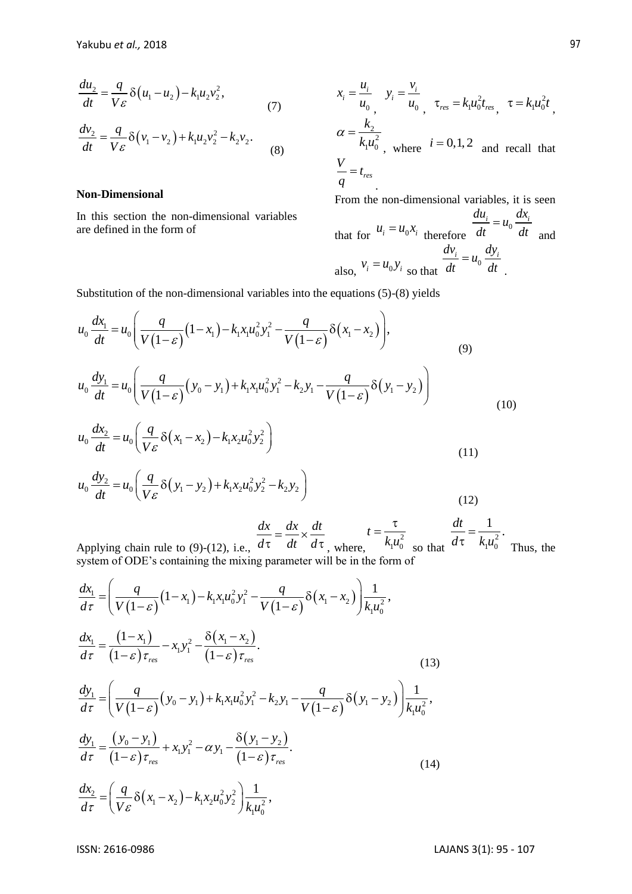$$
\frac{du_2}{dt} = \frac{q}{V\epsilon} \delta(u_1 - u_2) - k_1 u_2 v_2^2,
$$
\n(7)  
\n
$$
\frac{dv_2}{dt} = \frac{q}{V\epsilon} \delta(v_1 - v_2) + k_1 u_2 v_2^2 - k_2 v_2.
$$
\n(8)

#### **Non-Dimensional**

In this section the non-dimensional variables are defined in the form of

$$
x_i = \frac{u_i}{u_0}, \quad y_i = \frac{v_i}{u_0}, \quad \tau_{res} = k_1 u_0^2 t_{res}, \quad \tau = k_1 u_0^2 t,
$$
  
\n
$$
\alpha = \frac{k_2}{k_1 u_0^2}, \quad \text{where} \quad i = 0, 1, 2 \quad \text{and recall that}
$$
  
\n
$$
\frac{V}{q} = t_{res}
$$

From the non-dimensional variables, it is seen that for  $u_i = u_0 x_i$  therefore  $\frac{du_i}{dt} = u_0 \frac{dx_i}{dt}$ *dt dt* = and also,  $v_i = u_0 y_i$  so that  $\frac{dv_i}{dt} = u_0 \frac{dy_i}{dt}$ *dt dt* = .

$$
\frac{d^{2}x}{dt} = \frac{y}{V_{\mathcal{E}}} \delta(u_{1} - u_{2}) - k_{1}u_{2}v_{2}^{2},
$$
\n(7)  $x_{1} = \frac{z_{1}}{u_{0}}, y_{1} = \frac{z_{1}}{u_{0}}, y_{1} = \frac{z_{1}}{u_{0}}, z_{1} = k_{1}u_{0}^{2}t_{\text{av}}, z = k_{1} \frac{z_{2}}{u_{0}}, z_{2} = k_{2} \frac{z_{2}}{u_{0}} = \frac{q}{V_{\mathcal{E}}} \delta(v_{1} - v_{2}) + k_{1}u_{2}v_{2}^{2} - k_{2}v_{2}.$ \n(8) 
$$
\frac{z}{q} = t_{\text{av}}
$$
\nNon-Dimensional\nIn this section the non-dimensional variables:\n
$$
\begin{aligned}\n\text{and for } u_{i} = u_{0}v_{i}, \text{ therefore } \frac{du_{i}}{dt} = u_{0} \frac{dx_{i}}{dt} \\
\text{substitution of the non-dimensional variables into the equations (5)-(8) yields}\n\\
u_{0} \frac{dx_{1}}{dt} = u_{0} \left(\frac{q}{V(1-\mathcal{E})}(1-x_{1}) - k_{1}x_{1}u_{0}^{2}y_{1}^{2} - \frac{q}{V(1-\mathcal{E})}\delta(x_{1} - x_{2})\right),\n\\
u_{0} \frac{dv_{1}}{dt} = u_{0} \left(\frac{q}{V(1-\mathcal{E})}(y_{0} - y_{1}) + k_{1}x_{1}u_{0}^{2}y_{1}^{2} - \frac{q}{V(1-\mathcal{E})}\delta(y_{1} - y_{2})\right)\n\\
u_{0} \frac{dx_{2}}{dt} = u_{0} \left(\frac{q}{V_{\mathcal{E}}}\delta(x_{1} - x_{2}) - k_{1}x_{2}u_{0}^{2}y_{2}^{2}\right)\n\end{aligned}
$$
\n(10) 
$$
u_{0} \frac{dx_{2}}{dt} = u_{0} \left(\frac{q}{V_{\mathcal{E}}}\delta(x_{1} - x_{2}) - k_{1}x_{2}u_{0}^{2}y_{2}^{2}\right)\n\tag{11}
$$
\n(12) 
$$
\frac{dx}{dt} = \frac{dx}{u_{0}} \left(\frac{q}{V_{\mathcal{E}}}\delta
$$

Applying chain rule to (9)-(12), i.e., *d dt d*  $=\frac{u\lambda}{1} \times$  $\tau = \frac{d\tau}{dt} \times \frac{d\tau}{d\tau}$ , where,  $k_1 u_0^2$  $1^{\mu}0$ *t*  $k_1u$  $=\frac{\tau}{\tau}$ so that  $d\tau$   $k_1u_0^2$  $1^{\boldsymbol{\mu}}0$  $\frac{dt}{dt} = \frac{1}{1-\lambda}$  $d\tau$   $k_1u$ =  $\tau$   $k_1 u_0^2$  Thus, the

Applying chain rule to (9)-(12), i.e., 
$$
\alpha \cdot a \cdot a \cdot a \cdot a \cdot a \cdot b
$$
, where,  $\alpha$  is so that  
system of ODE's containing the mixing parameter will be in the form of  

$$
\frac{dx_1}{d\tau} = \left(\frac{q}{V(1-\varepsilon)}(1-x_1) - k_1x_1u_0^2y_1^2 - \frac{q}{V(1-\varepsilon)}\delta(x_1-x_2)\right)\frac{1}{k_1u_0^2},
$$

$$
\frac{dx_1}{d\tau} = \frac{(1-x_1)}{(1-\varepsilon)\tau_{res}} - x_1y_1^2 - \frac{\delta(x_1-x_2)}{(1-\varepsilon)\tau_{res}}.
$$
(13)  

$$
\frac{dy_1}{d\tau} = \left(\frac{q}{V(1-\varepsilon)}(y_0-y_1) + k_1x_1u_0^2y_1^2 - k_2y_1 - \frac{q}{V(1-\varepsilon)}\delta(y_1-y_2)\right)\frac{1}{k_1u_0^2},
$$

$$
\frac{dy_1}{d\tau} = \frac{(y_0-y_1)}{(1-\varepsilon)\tau_{res}} + x_1y_1^2 - \alpha y_1 - \frac{\delta(y_1-y_2)}{(1-\varepsilon)\tau_{res}}.
$$
(14)  

$$
\frac{dx_2}{d\tau} = \left(\frac{q}{V\varepsilon}\delta(x_1-x_2) - k_1x_2u_0^2y_2^2\right)\frac{1}{k_1u_0^2},
$$
(14)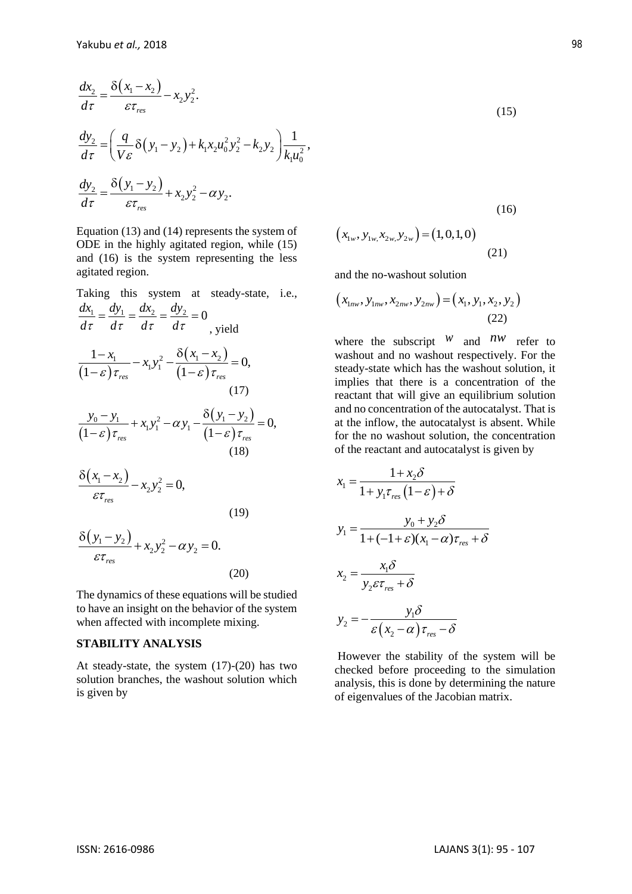$$
\frac{dx_2}{d\tau} = \frac{\delta(x_1 - x_2)}{\varepsilon \tau_{res}} - x_2 y_2^2.
$$
\n
$$
\frac{dy_2}{d\tau} = \left(\frac{q}{V\varepsilon} \delta(y_1 - y_2) + k_1 x_2 u_0^2 y_2^2 - k_2 y_2\right) \frac{1}{k_1 u_0^2},
$$
\n
$$
\frac{dy_2}{d\tau} = \frac{\delta(y_1 - y_2)}{\varepsilon \tau_{res}} + x_2 y_2^2 - \alpha y_2.
$$

Equation (13) and (14) represents the system of ODE in the highly agitated region, while (15) and (16) is the system representing the less agitated region.

$$
\frac{dx_2}{d\tau} = \frac{\delta(x_1 - x_2)}{\epsilon \tau_{\epsilon}} - x_2 y_2^2.
$$
\n(15)  
\n
$$
\frac{dy_2}{d\tau} = \left(\frac{q}{Ve}\delta(y_1 - y_2) + k_1x_2u_0^2y_2^2 - k_2y_2\right)\frac{1}{k_1u_0^2},
$$
\n(16)  
\nEquation (13) and (14) represents the system of  
\nEquation (15) and (14) represents the system of  
\nand (16) is the system representing the less  
\nagitated region, while (15) and (16) is the system representing the less  
\ngitated region.  
\nTaking this system at steady-state, i.e.,  
\n
$$
\frac{dx_1}{d\tau} = \frac{dy_1}{d\tau} = \frac{dx_2}{d\tau} = \frac{dy_2}{d\tau} = 0
$$
\n(22)  
\n
$$
\frac{dx_1}{d\tau} = \frac{dy_1}{d\tau} = \frac{dx_2}{d\tau} = \frac{dy_2}{d\tau} = 0
$$
\nwhere the subscript *W* and *IW* refer  
\n
$$
\frac{1-x_1}{(1-\epsilon)\tau_{\epsilon\epsilon}} - x_1y_1^2 = \frac{\delta(x_1 - x_2)}{(1-\epsilon)\tau_{\epsilon\epsilon}} = 0,
$$
\nwe have that where the system is the probability limit  
\n(17)  
\n
$$
\frac{y_0 - y_1}{(1-\epsilon)\tau_{\epsilon\epsilon}} + x_1y_1^2 - \alpha y_1 - \frac{\delta(y_1 - y_2)}{(1-\epsilon)\tau_{\epsilon\epsilon}} = 0,
$$
\n(19)  
\n
$$
\frac{\delta(x_1 - x_2)}{\epsilon\tau_{\epsilon\epsilon}} - x_2y_2^2 = 0.
$$
\n(19)  
\n
$$
\frac{\delta(y_1 - y_2)}{\epsilon\tau_{\epsilon\epsilon}} + x_2y_2^2 - \alpha y_2 = 0.
$$
\n(19)  
\n
$$
\frac{\delta(y_1 - y_2)}{\epsilon\tau_{\epsilon\epsilon}} + x_2y_2^2 - \alpha y_2 = 0.
$$
\n(19)  
\n
$$
\frac{\delta(y_1 - y_2)}{\epsilon\tau_{\epsilon\epsilon}} + x_2y_2^2 - \alpha y_2 = 0.
$$
\n(2

 $\mathcal{E}\tau_{_{res}}$ (20) The dynamics of these equations will be studied

to have an insight on the behavior of the system when affected with incomplete mixing.

## **STABILITY ANALYSIS**

At steady-state, the system (17)-(20) has two solution branches, the washout solution which is given by

$$
(x_{1w}, y_{1w}, x_{2w}, y_{2w}) = (1, 0, 1, 0)
$$
\n(21)

and the no-washout solution

$$
(x_{1nw}, y_{1nw}, x_{2nw}, y_{2nw}) = (x_1, y_1, x_2, y_2)
$$
\n(22)

where the subscript  $W$  and  $\frac{nw}{m}$  refer to washout and no washout respectively. For the steady-state which has the washout solution, it implies that there is a concentration of the reactant that will give an equilibrium solution and no concentration of the autocatalyst. That is at the inflow, the autocatalyst is absent. While for the no washout solution, the concentration of the reactant and autocatalyst is given by

$$
x_1 = \frac{1 + x_2 \delta}{1 + y_1 \tau_{res} (1 - \varepsilon) + \delta}
$$
  
\n
$$
y_1 = \frac{y_0 + y_2 \delta}{1 + (-1 + \varepsilon)(x_1 - \alpha)\tau_{res} + \delta}
$$
  
\n
$$
x_2 = \frac{x_1 \delta}{y_2 \varepsilon \tau_{res} + \delta}
$$
  
\n
$$
y_2 = -\frac{y_1 \delta}{\varepsilon (x_2 - \alpha) \tau_{res} - \delta}
$$

However the stability of the system will be checked before proceeding to the simulation analysis, this is done by determining the nature of eigenvalues of the Jacobian matrix.

$$
(15)
$$

(16)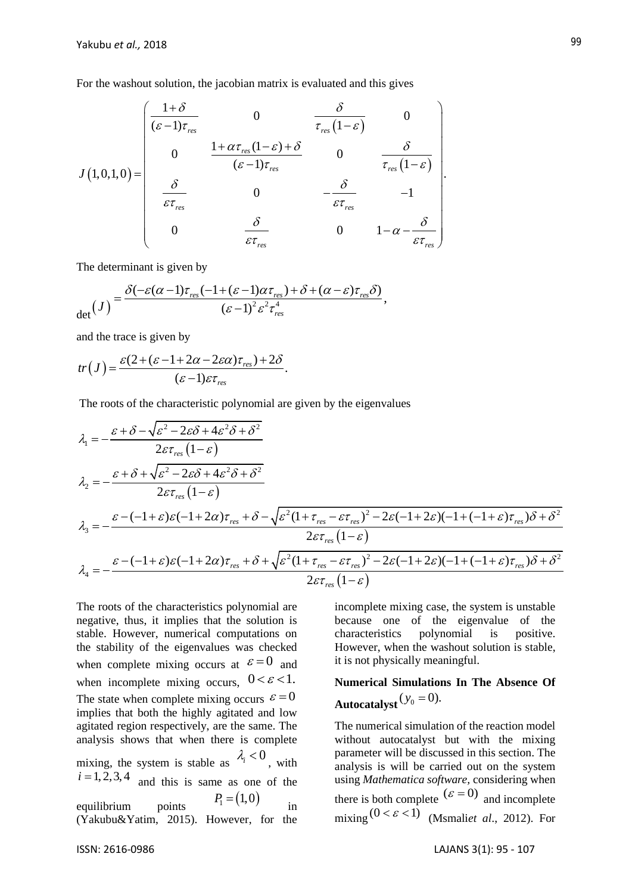For the washout solution, the jacobian matrix is evaluated and this gives  
\n
$$
J(1,0,1,0) = \begin{pmatrix}\n\frac{1+\delta}{(\varepsilon-1)\tau_{res}} & 0 & \frac{\delta}{\tau_{res}(1-\varepsilon)} & 0 \\
0 & \frac{1+\alpha\tau_{res}(1-\varepsilon)+\delta}{(\varepsilon-1)\tau_{res}} & 0 & \frac{\delta}{\tau_{res}(1-\varepsilon)} \\
\frac{\delta}{\varepsilon\tau_{res}} & 0 & -\frac{\delta}{\varepsilon\tau_{res}} & -1 \\
0 & \frac{\delta}{\varepsilon\tau_{res}} & 0 & 1-\alpha-\frac{\delta}{\varepsilon\tau_{res}}\n\end{pmatrix}
$$

The determinant is given by

The determinant is given by  
\n
$$
\det(J) = \frac{\delta(-\varepsilon(\alpha-1)\tau_{res}(-1+(\varepsilon-1)\alpha\tau_{res}) + \delta + (\alpha-\varepsilon)\tau_{res}\delta)}{(\varepsilon-1)^2 \varepsilon^2 \tau_{res}^4},
$$

and the trace is given by

and the trace is given by  
\n
$$
tr(J) = \frac{\varepsilon (2 + (\varepsilon - 1 + 2\alpha - 2\varepsilon \alpha)\tau_{res}) + 2\delta}{(\varepsilon - 1)\varepsilon \tau_{res}}.
$$

$$
tr(J) = \frac{\epsilon - 1}{\epsilon}.
$$
  
\nThe roots of the characteristic polynomial are given by the eigenvalues  
\n
$$
\lambda_1 = -\frac{\epsilon + \delta - \sqrt{\epsilon^2 - 2\epsilon\delta + 4\epsilon^2\delta + \delta^2}}{2\epsilon\tau_{res}(1-\epsilon)}
$$
\n
$$
\lambda_2 = -\frac{\epsilon + \delta + \sqrt{\epsilon^2 - 2\epsilon\delta + 4\epsilon^2\delta + \delta^2}}{2\epsilon\tau_{res}(1-\epsilon)}
$$
\n
$$
\lambda_3 = -\frac{\epsilon - (-1+\epsilon)\epsilon(-1+2\alpha)\tau_{res} + \delta - \sqrt{\epsilon^2(1+\tau_{res} - \epsilon\tau_{res})^2 - 2\epsilon(-1+2\epsilon)(-1+(-1+\epsilon)\tau_{res})\delta + \delta^2}}{2\epsilon\tau_{res}(1-\epsilon)}
$$
\n
$$
\lambda_4 = -\frac{\epsilon - (-1+\epsilon)\epsilon(-1+2\alpha)\tau_{res} + \delta + \sqrt{\epsilon^2(1+\tau_{res} - \epsilon\tau_{res})^2 - 2\epsilon(-1+2\epsilon)(-1+(-1+\epsilon)\tau_{res})\delta + \delta^2}}{2\epsilon\tau_{res}(1-\epsilon)}
$$

The roots of the characteristics polynomial are negative, thus, it implies that the solution is stable. However, numerical computations on the stability of the eigenvalues was checked when complete mixing occurs at  $\varepsilon = 0$  and when incomplete mixing occurs,  $0 < \varepsilon < 1$ . The state when complete mixing occurs  $\varepsilon = 0$ implies that both the highly agitated and low agitated region respectively, are the same. The analysis shows that when there is complete mixing, the system is stable as  $\lambda_i < 0$ , with  $i = 1, 2, 3, 4$  and this is same as one of the equilibrium points  $P_1 = (1,0)$ in (Yakubu&Yatim, 2015). However, for the

incomplete mixing case, the system is unstable because one of the eigenvalue of the characteristics polynomial is positive. However, when the washout solution is stable, it is not physically meaningful.

**Numerical Simulations In The Absence Of**  Autocatalyst  $(y_0 = 0)$ .

The numerical simulation of the reaction model without autocatalyst but with the mixing parameter will be discussed in this section. The analysis is will be carried out on the system using *Mathematica software,* considering when there is both complete  $(\varepsilon = 0)$  and incomplete mixing  $(0 < \varepsilon < 1)$  (Msmaliet al., 2012). For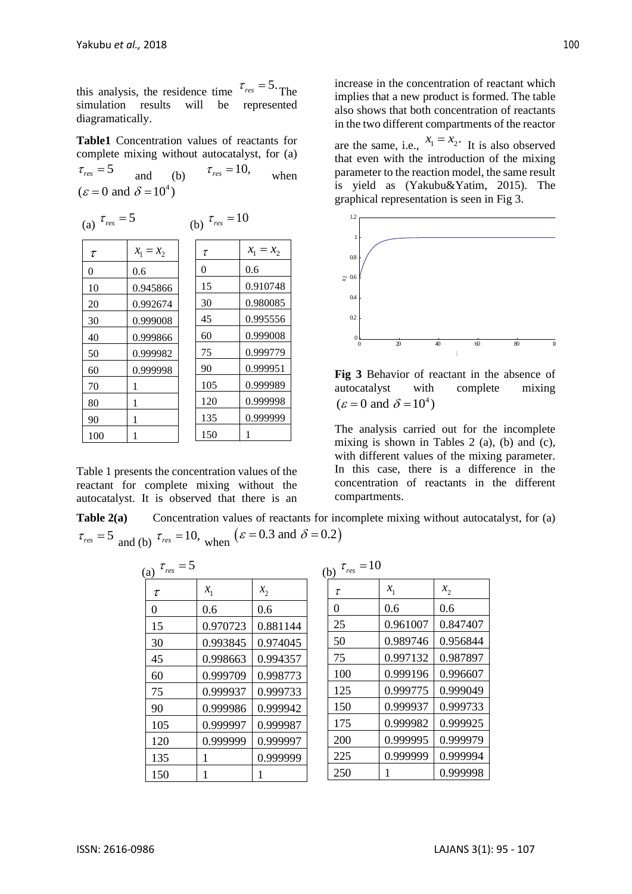this analysis, the residence time  $\tau_{res} = 5$ . The simulation results will be represented diagramatically.

**Table1** Concentration values of reactants for complete mixing without autocatalyst, for (a)  $\tau_{res} = 5$  $\tau_{res} = 10$ ,

and (b) when  $(\varepsilon = 0 \text{ and } \delta = 10^4)$ 

(b)  $\tau_{res} = 10$ 

(a) 
$$
\tau_{res} = 5
$$

| $\tau$ | $x_1 = x_2$ | τ   | $x_1 = x_2$ |
|--------|-------------|-----|-------------|
| 0      | 0.6         | 0   | 0.6         |
| 10     | 0.945866    | 15  | 0.910748    |
| 20     | 0.992674    | 30  | 0.980085    |
| 30     | 0.999008    | 45  | 0.995556    |
| 40     | 0.999866    | 60  | 0.999008    |
| 50     | 0.999982    | 75  | 0.999779    |
| 60     | 0.999998    | 90  | 0.999951    |
| 70     | 1           | 105 | 0.999989    |
| 80     | 1           | 120 | 0.999998    |
| 90     | 1           | 135 | 0.999999    |
| 100    |             | 150 |             |
|        |             |     |             |

Table 1 presents the concentration values of the reactant for complete mixing without the autocatalyst. It is observed that there is an

increase in the concentration of reactant which implies that a new product is formed. The table also shows that both concentration of reactants in the two different compartments of the reactor

are the same, i.e.,  $x_1 = x_2$ . It is also observed that even with the introduction of the mixing parameter to the reaction model, the same result is yield as (Yakubu&Yatim, 2015). The graphical representation is seen in Fig 3.



**Fig 3** Behavior of reactant in the absence of autocatalyst with complete mixing  $(\varepsilon = 0 \text{ and } \delta = 10^4)$ 

The analysis carried out for the incomplete mixing is shown in Tables 2 (a), (b) and (c), with different values of the mixing parameter. In this case, there is a difference in the concentration of reactants in the different compartments.

**Table 2(a)** Concentration values of reactants for incomplete mixing without autocatalyst, for (a)  $\tau_{res} = 5 \text{ and (b)} \tau_{res} = 10, \text{ when } (\varepsilon = 0.3 \text{ and } \delta = 0.2)$ 

| (a) $\tau_{res} = 5$ |          |          | (b) $\tau_{res} = 10$ |          |          |
|----------------------|----------|----------|-----------------------|----------|----------|
| $\tau$               | $x_1$    | $x_{2}$  | $\tau$                | $x_1$    | $x_2$    |
| $\overline{0}$       | 0.6      | 0.6      | $\theta$              | 0.6      | 0.6      |
| 15                   | 0.970723 | 0.881144 | 25                    | 0.961007 | 0.847407 |
| 30                   | 0.993845 | 0.974045 | 50                    | 0.989746 | 0.956844 |
| 45                   | 0.998663 | 0.994357 | 75                    | 0.997132 | 0.987897 |
| 60                   | 0.999709 | 0.998773 | 100                   | 0.999196 | 0.996607 |
| 75                   | 0.999937 | 0.999733 | 125                   | 0.999775 | 0.999049 |
| 90                   | 0.999986 | 0.999942 | 150                   | 0.999937 | 0.999733 |
| 105                  | 0.999997 | 0.999987 | 175                   | 0.999982 | 0.999925 |
| 120                  | 0.999999 | 0.999997 | 200                   | 0.999995 | 0.999979 |
| 135                  | 1        | 0.999999 | 225                   | 0.999999 | 0.999994 |
| 150                  |          |          | 250                   | 1        | 0.999998 |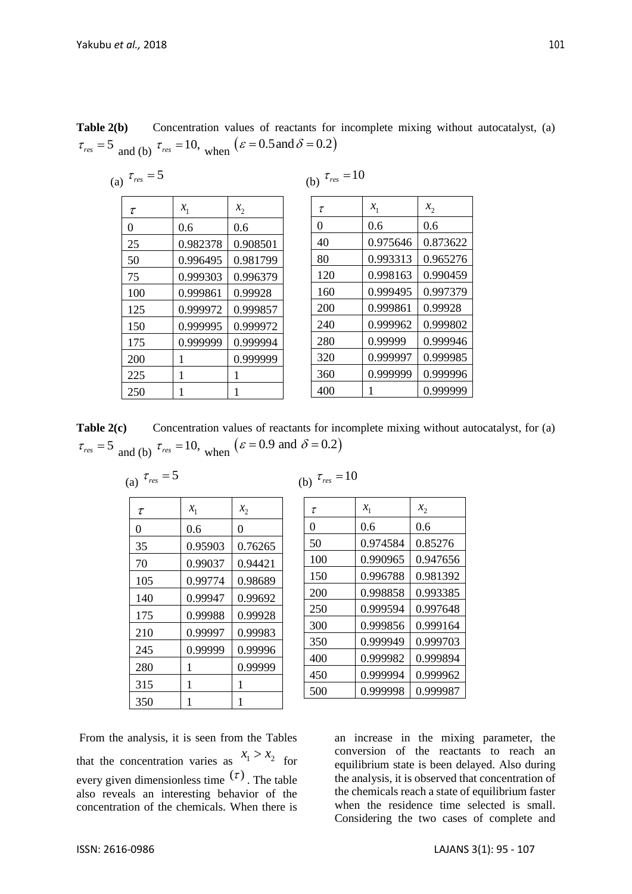| <b>Table 2(b)</b> Concentration values of reactants for incomplete mixing without autocatalyst, (a) |  |  |  |  |  |
|-----------------------------------------------------------------------------------------------------|--|--|--|--|--|
| $\tau_{res}$ = 5 and (b) $\tau_{res}$ = 10, when $(\varepsilon = 0.5 \text{ and } \delta = 0.2)$    |  |  |  |  |  |

(a) 
$$
\tau_{res} = 5
$$

| (b) | res |  | 10 |
|-----|-----|--|----|
|-----|-----|--|----|

| τ        | $x_1$    | $x_2$    |
|----------|----------|----------|
| $\theta$ | 0.6      | 0.6      |
| 25       | 0.982378 | 0.908501 |
| 50       | 0.996495 | 0.981799 |
| 75       | 0.999303 | 0.996379 |
| 100      | 0.999861 | 0.99928  |
| 125      | 0.999972 | 0.999857 |
| 150      | 0.999995 | 0.999972 |
| 175      | 0.999999 | 0.999994 |
| 200      | 1        | 0.999999 |
| 225      | 1        |          |
| 250      |          |          |

| τ   | $x_1$    | $x_2$    |
|-----|----------|----------|
| 0   | 0.6      | 0.6      |
| 40  | 0.975646 | 0.873622 |
| 80  | 0.993313 | 0.965276 |
| 120 | 0.998163 | 0.990459 |
| 160 | 0.999495 | 0.997379 |
| 200 | 0.999861 | 0.99928  |
| 240 | 0.999962 | 0.999802 |
| 280 | 0.99999  | 0.999946 |
| 320 | 0.999997 | 0.999985 |
| 360 | 0.999999 | 0.999996 |
| 400 |          | 0.999999 |

Table 2(c) Concentration values of reactants for incomplete mixing without autocatalyst, for (a)  $\tau_{res} = 5 \text{ and (b)} \tau_{res} = 10, \text{ when } (\varepsilon = 0.9 \text{ and } \delta = 0.2)$ 

| я | 0 S |  |
|---|-----|--|
|---|-----|--|

| (b)<br>res |  |  |  | 10 |
|------------|--|--|--|----|
|------------|--|--|--|----|

| $\tau$   | $x_1$   | $x_2$   |
|----------|---------|---------|
| $\Omega$ | 0.6     | 0       |
| 35       | 0.95903 | 0.76265 |
| 70       | 0.99037 | 0.94421 |
| 105      | 0.99774 | 0.98689 |
| 140      | 0.99947 | 0.99692 |
| 175      | 0.99988 | 0.99928 |
| 210      | 0.99997 | 0.99983 |
| 245      | 0.99999 | 0.99996 |
| 280      | 1       | 0.99999 |
| 315      | 1       | 1       |
| 350      |         |         |

| τ              | $x_{1}$  | $x_2$    |
|----------------|----------|----------|
| $\overline{0}$ | 0.6      | 0.6      |
| 50             | 0.974584 | 0.85276  |
| 100            | 0.990965 | 0.947656 |
| 150            | 0.996788 | 0.981392 |
| 200            | 0.998858 | 0.993385 |
| 250            | 0.999594 | 0.997648 |
| 300            | 0.999856 | 0.999164 |
| 350            | 0.999949 | 0.999703 |
| 400            | 0.999982 | 0.999894 |
| 450            | 0.999994 | 0.999962 |
| 500            | 0.999998 | 0.999987 |

From the analysis, it is seen from the Tables that the concentration varies as  $x_1 > x_2$  for every given dimensionless time  $(\tau)$ . The table also reveals an interesting behavior of the concentration of the chemicals. When there is

an increase in the mixing parameter, the conversion of the reactants to reach an equilibrium state is been delayed. Also during the analysis, it is observed that concentration of the chemicals reach a state of equilibrium faster when the residence time selected is small. Considering the two cases of complete and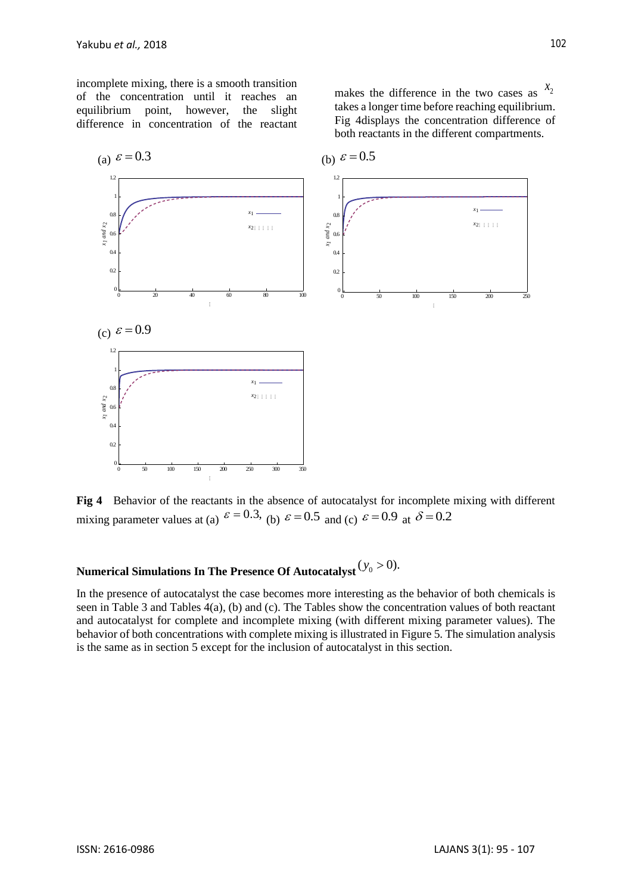incomplete mixing, there is a smooth transition of the concentration until it reaches an equilibrium point, however, the slight difference in concentration of the reactant

makes the difference in the two cases as  $x_2$ takes a longer time before reaching equilibrium. Fig 4displays the concentration difference of both reactants in the different compartments.



**Fig 4** Behavior of the reactants in the absence of autocatalyst for incomplete mixing with different mixing parameter values at (a)  $\varepsilon = 0.3$ , (b)  $\varepsilon = 0.5$  and (c)  $\varepsilon = 0.9$  at  $\delta = 0.2$ 

# Numerical Simulations In The Presence Of Autocatalyst  $(y_0 > 0)$ .

In the presence of autocatalyst the case becomes more interesting as the behavior of both chemicals is seen in Table 3 and Tables 4(a), (b) and (c). The Tables show the concentration values of both reactant and autocatalyst for complete and incomplete mixing (with different mixing parameter values). The behavior of both concentrations with complete mixing is illustrated in Figure 5. The simulation analysis is the same as in section 5 except for the inclusion of autocatalyst in this section.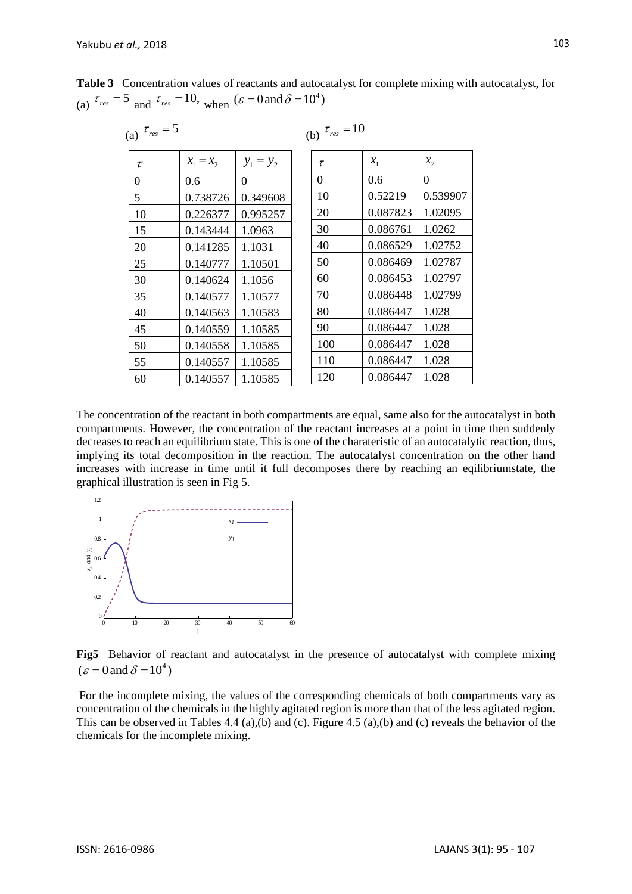| (a) $\tau_{res} = 5$ |             |             | (b) $\tau_{res} = 10$ |          |          |
|----------------------|-------------|-------------|-----------------------|----------|----------|
| τ                    | $x_1 = x_2$ | $y_1 = y_2$ | τ                     | $x_{1}$  | $x_2$    |
| $\theta$             | 0.6         | 0           | $\Omega$              | 0.6      | 0        |
| 5                    | 0.738726    | 0.349608    | 10                    | 0.52219  | 0.539907 |
| 10                   | 0.226377    | 0.995257    | 20                    | 0.087823 | 1.02095  |
| 15                   | 0.143444    | 1.0963      | 30                    | 0.086761 | 1.0262   |
| 20                   | 0.141285    | 1.1031      | 40                    | 0.086529 | 1.02752  |
| 25                   | 0.140777    | 1.10501     | 50                    | 0.086469 | 1.02787  |
| 30                   | 0.140624    | 1.1056      | 60                    | 0.086453 | 1.02797  |
| 35                   | 0.140577    | 1.10577     | 70                    | 0.086448 | 1.02799  |
| 40                   | 0.140563    | 1.10583     | 80                    | 0.086447 | 1.028    |
| 45                   | 0.140559    | 1.10585     | 90                    | 0.086447 | 1.028    |
| 50                   | 0.140558    | 1.10585     | 100                   | 0.086447 | 1.028    |
| 55                   | 0.140557    | 1.10585     | 110                   | 0.086447 | 1.028    |
| 60                   | 0.140557    | 1.10585     | 120                   | 0.086447 | 1.028    |

**Table 3** Concentration values of reactants and autocatalyst for complete mixing with autocatalyst, for (a)  $\tau_{res} = 5$  and  $\tau_{res} = 10$ , when  $(\varepsilon = 0 \text{ and } \delta = 10^4)$ 

The concentration of the reactant in both compartments are equal, same also for the autocatalyst in both compartments. However, the concentration of the reactant increases at a point in time then suddenly decreases to reach an equilibrium state. This is one of the charateristic of an autocatalytic reaction, thus, implying its total decomposition in the reaction. The autocatalyst concentration on the other hand increases with increase in time until it full decomposes there by reaching an eqilibriumstate, the graphical illustration is seen in Fig 5.



**Fig5** Behavior of reactant and autocatalyst in the presence of autocatalyst with complete mixing  $(\varepsilon = 0 \text{ and } \delta = 10^4)$ 

For the incomplete mixing, the values of the corresponding chemicals of both compartments vary as concentration of the chemicals in the highly agitated region is more than that of the less agitated region. This can be observed in Tables 4.4 (a),(b) and (c). Figure 4.5 (a),(b) and (c) reveals the behavior of the chemicals for the incomplete mixing.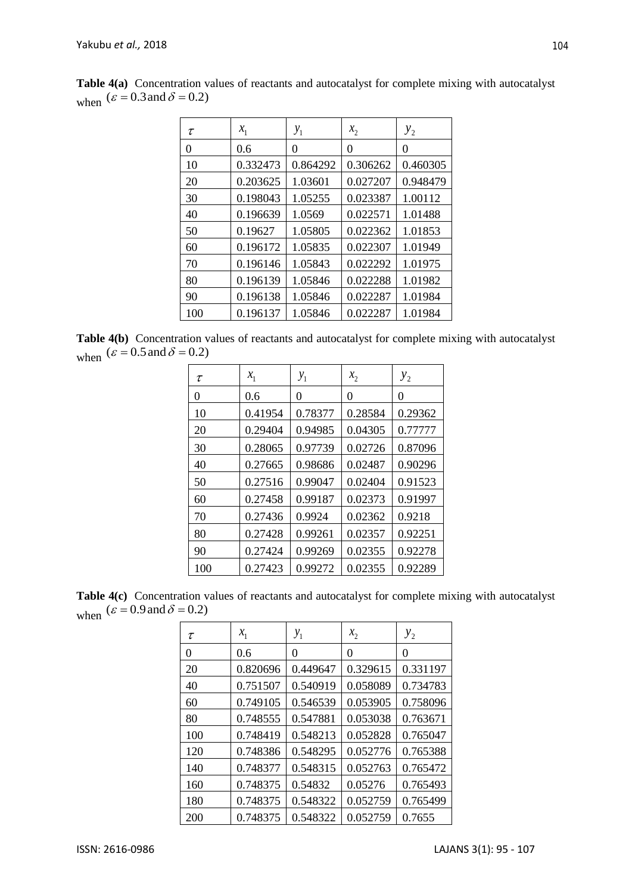| τ        | $x_1$    | $y_1$    | $x_2$    | $y_{2}$  |
|----------|----------|----------|----------|----------|
| $\Omega$ | 0.6      | 0        | 0        | 0        |
| 10       | 0.332473 | 0.864292 | 0.306262 | 0.460305 |
| 20       | 0.203625 | 1.03601  | 0.027207 | 0.948479 |
| 30       | 0.198043 | 1.05255  | 0.023387 | 1.00112  |
| 40       | 0.196639 | 1.0569   | 0.022571 | 1.01488  |
| 50       | 0.19627  | 1.05805  | 0.022362 | 1.01853  |
| 60       | 0.196172 | 1.05835  | 0.022307 | 1.01949  |
| 70       | 0.196146 | 1.05843  | 0.022292 | 1.01975  |
| 80       | 0.196139 | 1.05846  | 0.022288 | 1.01982  |
| 90       | 0.196138 | 1.05846  | 0.022287 | 1.01984  |
| 100      | 0.196137 | 1.05846  | 0.022287 | 1.01984  |

**Table 4(a)** Concentration values of reactants and autocatalyst for complete mixing with autocatalyst when  $(\varepsilon = 0.3$  and  $\delta = 0.2)$ 

**Table 4(b)** Concentration values of reactants and autocatalyst for complete mixing with autocatalyst when  $(\varepsilon = 0.5 \text{ and } \delta = 0.2)$ 

| $\tau$ | $x_1$   | $y_1$   | $x_2$   | $y_{2}$ |
|--------|---------|---------|---------|---------|
| 0      | 0.6     | 0       | 0       | 0       |
| 10     | 0.41954 | 0.78377 | 0.28584 | 0.29362 |
| 20     | 0.29404 | 0.94985 | 0.04305 | 0.77777 |
| 30     | 0.28065 | 0.97739 | 0.02726 | 0.87096 |
| 40     | 0.27665 | 0.98686 | 0.02487 | 0.90296 |
| 50     | 0.27516 | 0.99047 | 0.02404 | 0.91523 |
| 60     | 0.27458 | 0.99187 | 0.02373 | 0.91997 |
| 70     | 0.27436 | 0.9924  | 0.02362 | 0.9218  |
| 80     | 0.27428 | 0.99261 | 0.02357 | 0.92251 |
| 90     | 0.27424 | 0.99269 | 0.02355 | 0.92278 |
| 100    | 0.27423 | 0.99272 | 0.02355 | 0.92289 |

**Table 4(c)** Concentration values of reactants and autocatalyst for complete mixing with autocatalyst when  $(\varepsilon = 0.9$  and  $\delta = 0.2)$ 

| τ   | $x_1$    | $y_1$    | $x_2$    | $y_{2}$  |
|-----|----------|----------|----------|----------|
| 0   | 0.6      | 0        | 0        | 0        |
| 20  | 0.820696 | 0.449647 | 0.329615 | 0.331197 |
| 40  | 0.751507 | 0.540919 | 0.058089 | 0.734783 |
| 60  | 0.749105 | 0.546539 | 0.053905 | 0.758096 |
| 80  | 0.748555 | 0.547881 | 0.053038 | 0.763671 |
| 100 | 0.748419 | 0.548213 | 0.052828 | 0.765047 |
| 120 | 0.748386 | 0.548295 | 0.052776 | 0.765388 |
| 140 | 0.748377 | 0.548315 | 0.052763 | 0.765472 |
| 160 | 0.748375 | 0.54832  | 0.05276  | 0.765493 |
| 180 | 0.748375 | 0.548322 | 0.052759 | 0.765499 |
| 200 | 0.748375 | 0.548322 | 0.052759 | 0.7655   |

104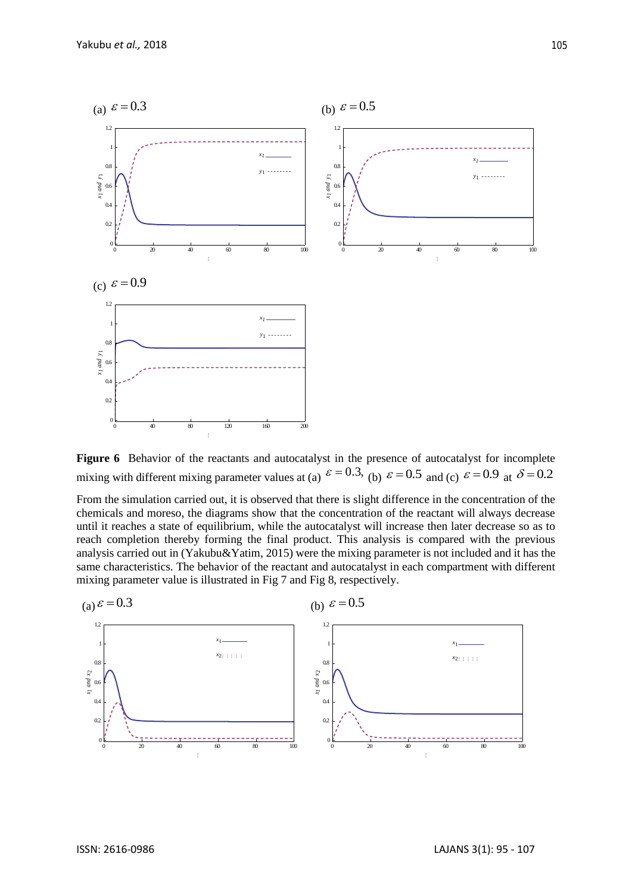

Figure 6 Behavior of the reactants and autocatalyst in the presence of autocatalyst for incomplete mixing with different mixing parameter values at (a)  $\varepsilon = 0.3$ , (b)  $\varepsilon = 0.5$  and (c)  $\varepsilon = 0.9$  at  $\delta = 0.2$ 

From the simulation carried out, it is observed that there is slight difference in the concentration of the chemicals and moreso, the diagrams show that the concentration of the reactant will always decrease until it reaches a state of equilibrium, while the autocatalyst will increase then later decrease so as to reach completion thereby forming the final product. This analysis is compared with the previous analysis carried out in (Yakubu&Yatim, 2015) were the mixing parameter is not included and it has the same characteristics. The behavior of the reactant and autocatalyst in each compartment with different mixing parameter value is illustrated in Fig 7 and Fig 8, respectively.

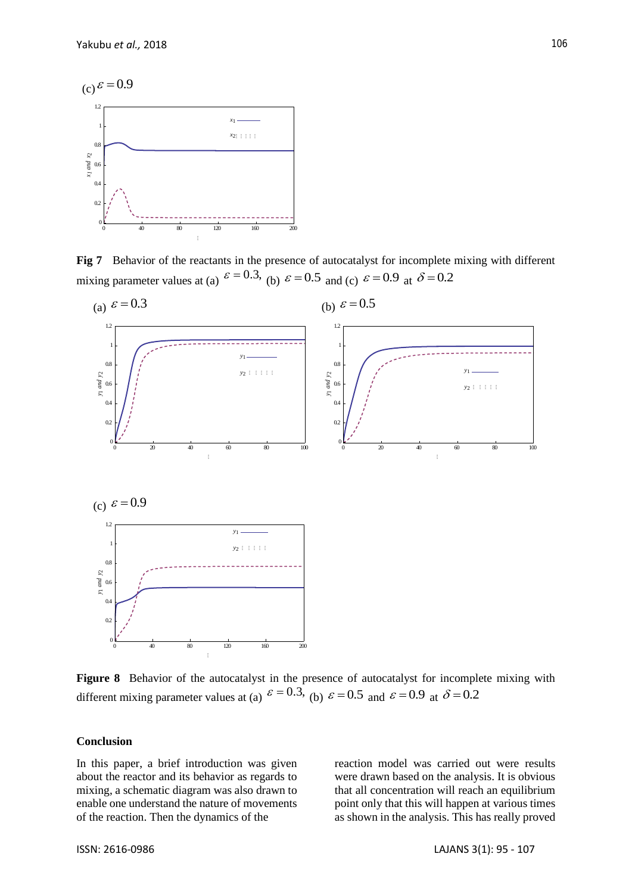

**Fig 7** Behavior of the reactants in the presence of autocatalyst for incomplete mixing with different mixing parameter values at (a)  $\varepsilon = 0.3$ , (b)  $\varepsilon = 0.5$  and (c)  $\varepsilon = 0.9$  at  $\delta = 0.2$ 



**Figure 8** Behavior of the autocatalyst in the presence of autocatalyst for incomplete mixing with different mixing parameter values at (a)  $\varepsilon = 0.3$ , (b)  $\varepsilon = 0.5$  and  $\varepsilon = 0.9$  at  $\delta = 0.2$ 

#### **Conclusion**

In this paper, a brief introduction was given about the reactor and its behavior as regards to mixing, a schematic diagram was also drawn to enable one understand the nature of movements of the reaction. Then the dynamics of the

reaction model was carried out were results were drawn based on the analysis. It is obvious that all concentration will reach an equilibrium point only that this will happen at various times as shown in the analysis. This has really proved